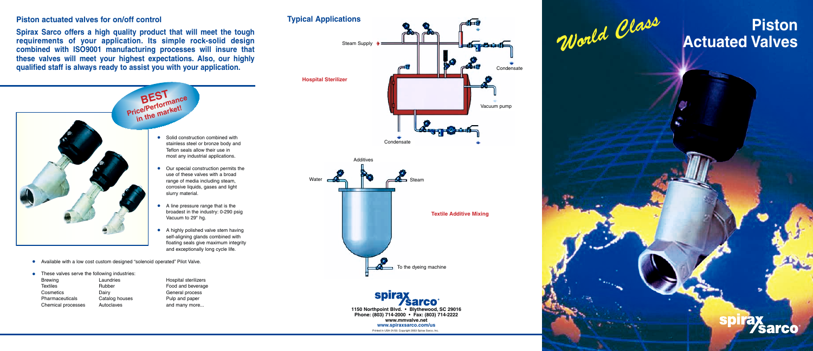## **Piston actuated valves for on/off control**

**Spirax Sarco offers a high quality product that will meet the tough requirements of your application. Its simple rock-solid design combined with ISO9001 manufacturing processes will insure that these valves will meet your highest expectations. Also, our highly qualified staff is always ready to assist you with your application.**

# **Piston Actuated Valves**





*World Class*



- Solid construction combined with stainless steel or bronze body and Teflon seals allow their use in most any industrial applications.
- Our special construction permits the use of these valves with a broad range of media including steam, corrosive liquids, gases and light slurry material.
- A line pressure range that is the broadest in the industry: 0-290 psig Vacuum to 29" hg.
- A highly polished valve stem having self-aligning glands combined with floating seals give maximum integrity and exceptionally long cycle life.
- Available with a low cost custom designed "solenoid operated" Pilot Valve.
- These valves serve the following industries:

| <b>Brewing</b>     | Laundries      |
|--------------------|----------------|
| <b>Textiles</b>    | Rubber         |
| Cosmetics          | Dairy          |
| Pharmaceuticals    | Catalog houses |
| Chemical processes | Autoclaves     |

Hospital sterilizers Food and beverage General process Pulp and paper

# **Typical Applications**